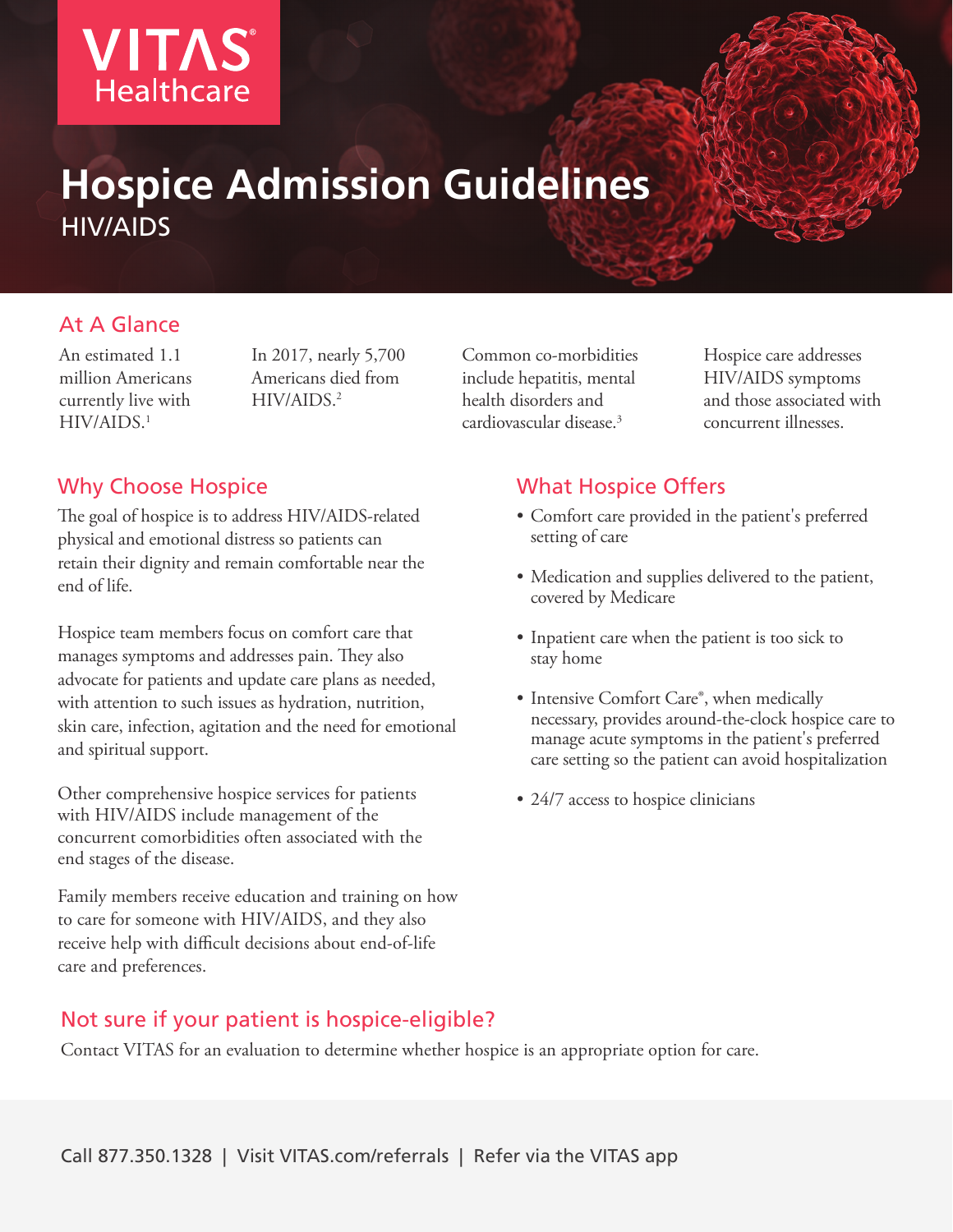

# **Hospice Admission Guidelines** HIV/AIDS

#### At A Glance

An estimated 1.1 million Americans currently live with HIV/AIDS.1

In 2017, nearly 5,700 Americans died from HIV/AIDS.2

Common co-morbidities include hepatitis, mental health disorders and cardiovascular disease.3

Hospice care addresses HIV/AIDS symptoms and those associated with concurrent illnesses.

#### Why Choose Hospice

The goal of hospice is to address HIV/AIDS-related physical and emotional distress so patients can retain their dignity and remain comfortable near the end of life.

Hospice team members focus on comfort care that manages symptoms and addresses pain. They also advocate for patients and update care plans as needed, with attention to such issues as hydration, nutrition, skin care, infection, agitation and the need for emotional and spiritual support.

Other comprehensive hospice services for patients with HIV/AIDS include management of the concurrent comorbidities often associated with the end stages of the disease.

Family members receive education and training on how to care for someone with HIV/AIDS, and they also receive help with difficult decisions about end-of-life care and preferences.

#### Not sure if your patient is hospice-eligible?

Contact VITAS for an evaluation to determine whether hospice is an appropriate option for care.

## What Hospice Offers

- Comfort care provided in the patient's preferred setting of care
- Medication and supplies delivered to the patient, covered by Medicare
- Inpatient care when the patient is too sick to stay home
- Intensive Comfort Care®, when medically necessary, provides around-the-clock hospice care to manage acute symptoms in the patient's preferred care setting so the patient can avoid hospitalization
- 24/7 access to hospice clinicians